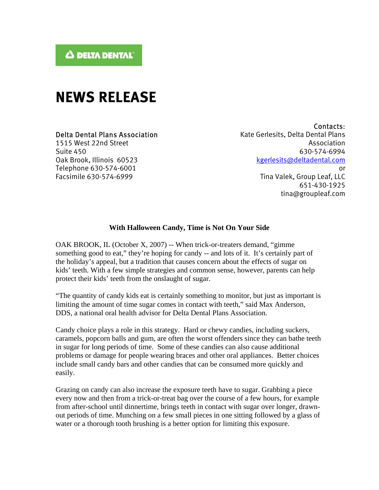## **NEWS RELEASE**

## Delta Dental Plans Association

1515 West 22nd Street Suite 450 Oak Brook, Illinois 60523 Telephone 630-574-6001 Facsimile 630-574-6999

Contacts: Kate Gerlesits, Delta Dental Plans Association 630-574-6994 kgerlesits@deltadental.com or Tina Valek, Group Leaf, LLC 651-430-1925 tina@groupleaf.com

## **With Halloween Candy, Time is Not On Your Side**

OAK BROOK, IL (October X, 2007) -- When trick-or-treaters demand, "gimme something good to eat," they're hoping for candy -- and lots of it. It's certainly part of the holiday's appeal, but a tradition that causes concern about the effects of sugar on kids' teeth. With a few simple strategies and common sense, however, parents can help protect their kids' teeth from the onslaught of sugar.

"The quantity of candy kids eat is certainly something to monitor, but just as important is limiting the amount of time sugar comes in contact with teeth," said Max Anderson, DDS, a national oral health advisor for Delta Dental Plans Association.

Candy choice plays a role in this strategy. Hard or chewy candies, including suckers, caramels, popcorn balls and gum, are often the worst offenders since they can bathe teeth in sugar for long periods of time. Some of these candies can also cause additional problems or damage for people wearing braces and other oral appliances. Better choices include small candy bars and other candies that can be consumed more quickly and easily.

Grazing on candy can also increase the exposure teeth have to sugar. Grabbing a piece every now and then from a trick-or-treat bag over the course of a few hours, for example from after-school until dinnertime, brings teeth in contact with sugar over longer, drawnout periods of time. Munching on a few small pieces in one sitting followed by a glass of water or a thorough tooth brushing is a better option for limiting this exposure.